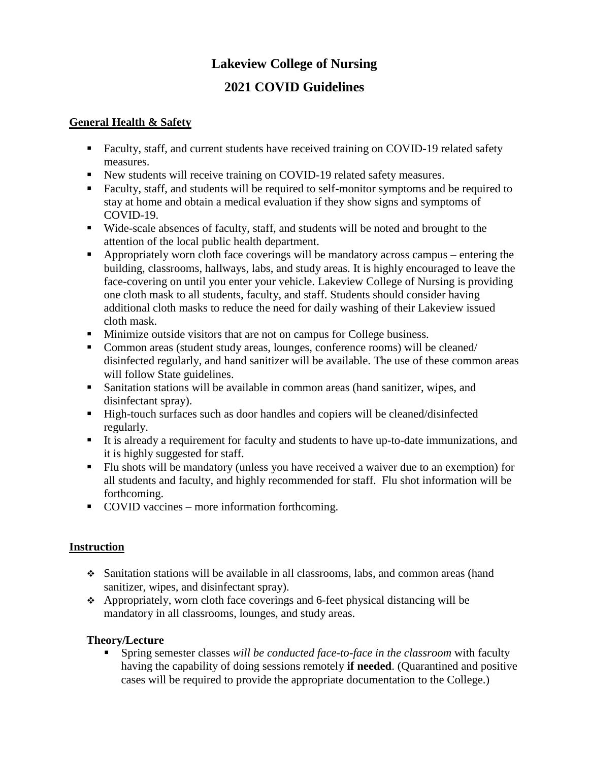# **Lakeview College of Nursing**

# **2021 COVID Guidelines**

### **General Health & Safety**

- Faculty, staff, and current students have received training on COVID-19 related safety measures.
- New students will receive training on COVID-19 related safety measures.
- Faculty, staff, and students will be required to self-monitor symptoms and be required to stay at home and obtain a medical evaluation if they show signs and symptoms of COVID-19.
- Wide-scale absences of faculty, staff, and students will be noted and brought to the attention of the local public health department.
- Appropriately worn cloth face coverings will be mandatory across campus entering the building, classrooms, hallways, labs, and study areas. It is highly encouraged to leave the face-covering on until you enter your vehicle. Lakeview College of Nursing is providing one cloth mask to all students, faculty, and staff. Students should consider having additional cloth masks to reduce the need for daily washing of their Lakeview issued cloth mask.
- **Minimize outside visitors that are not on campus for College business.**
- Common areas (student study areas, lounges, conference rooms) will be cleaned/ disinfected regularly, and hand sanitizer will be available. The use of these common areas will follow State guidelines.
- Sanitation stations will be available in common areas (hand sanitizer, wipes, and disinfectant spray).
- High-touch surfaces such as door handles and copiers will be cleaned/disinfected regularly.
- It is already a requirement for faculty and students to have up-to-date immunizations, and it is highly suggested for staff.
- Flu shots will be mandatory (unless you have received a waiver due to an exemption) for all students and faculty, and highly recommended for staff. Flu shot information will be forthcoming.
- COVID vaccines more information forthcoming.

# **Instruction**

- Sanitation stations will be available in all classrooms, labs, and common areas (hand sanitizer, wipes, and disinfectant spray).
- Appropriately, worn cloth face coverings and 6-feet physical distancing will be mandatory in all classrooms, lounges, and study areas.

# **Theory/Lecture**

 Spring semester classes *will be conducted face-to-face in the classroom* with faculty having the capability of doing sessions remotely **if needed**. (Quarantined and positive cases will be required to provide the appropriate documentation to the College.)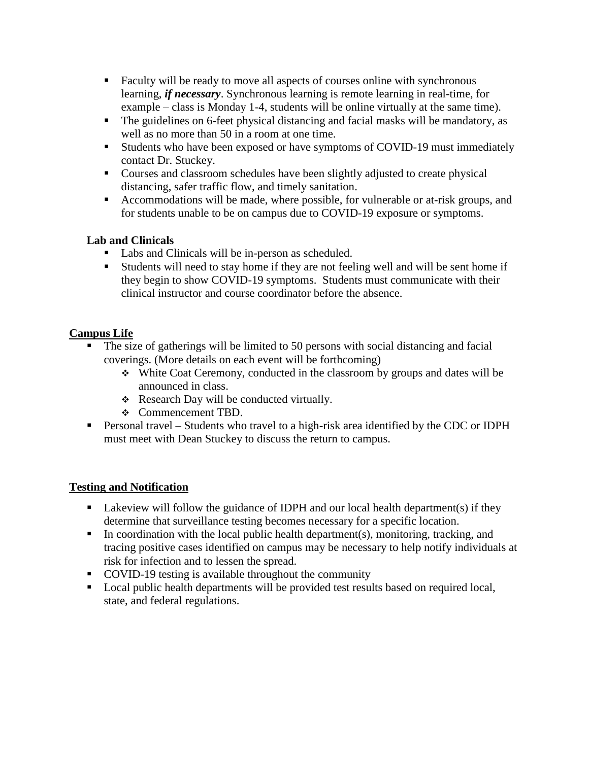- Faculty will be ready to move all aspects of courses online with synchronous learning, *if necessary*. Synchronous learning is remote learning in real-time, for example – class is Monday 1-4, students will be online virtually at the same time).
- The guidelines on 6-feet physical distancing and facial masks will be mandatory, as well as no more than 50 in a room at one time.
- Students who have been exposed or have symptoms of COVID-19 must immediately contact Dr. Stuckey.
- Courses and classroom schedules have been slightly adjusted to create physical distancing, safer traffic flow, and timely sanitation.
- Accommodations will be made, where possible, for vulnerable or at-risk groups, and for students unable to be on campus due to COVID-19 exposure or symptoms.

### **Lab and Clinicals**

- Labs and Clinicals will be in-person as scheduled.
- Students will need to stay home if they are not feeling well and will be sent home if they begin to show COVID-19 symptoms. Students must communicate with their clinical instructor and course coordinator before the absence.

# **Campus Life**

- The size of gatherings will be limited to 50 persons with social distancing and facial coverings. (More details on each event will be forthcoming)
	- White Coat Ceremony, conducted in the classroom by groups and dates will be announced in class.
	- \* Research Day will be conducted virtually.
	- Commencement TBD.
- Personal travel Students who travel to a high-risk area identified by the CDC or IDPH must meet with Dean Stuckey to discuss the return to campus.

#### **Testing and Notification**

- **Lakeview will follow the guidance of IDPH and our local health department(s) if they** determine that surveillance testing becomes necessary for a specific location.
- In coordination with the local public health department(s), monitoring, tracking, and tracing positive cases identified on campus may be necessary to help notify individuals at risk for infection and to lessen the spread.
- COVID-19 testing is available throughout the community
- Local public health departments will be provided test results based on required local, state, and federal regulations.